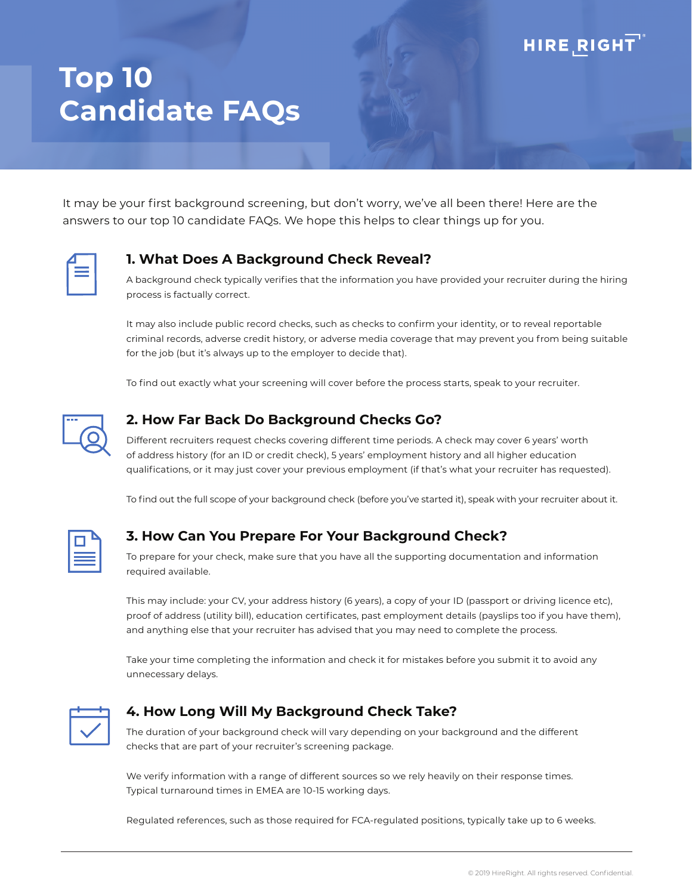# **HIRE RIGHT**

# **Top 10 Candidate FAQs**

It may be your first background screening, but don't worry, we've all been there! Here are the answers to our top 10 candidate FAQs. We hope this helps to clear things up for you.

#### **1. What Does A Background Check Reveal?**

A background check typically verifies that the information you have provided your recruiter during the hiring process is factually correct.

It may also include public record checks, such as checks to confirm your identity, or to reveal reportable criminal records, adverse credit history, or adverse media coverage that may prevent you from being suitable for the job (but it's always up to the employer to decide that).

To find out exactly what your screening will cover before the process starts, speak to your recruiter.



#### **2. How Far Back Do Background Checks Go?**

Different recruiters request checks covering different time periods. A check may cover 6 years' worth of address history (for an ID or credit check), 5 years' employment history and all higher education qualifications, or it may just cover your previous employment (if that's what your recruiter has requested).

To find out the full scope of your background check (before you've started it), speak with your recruiter about it.

#### **3. How Can You Prepare For Your Background Check?**

To prepare for your check, make sure that you have all the supporting documentation and information required available.

This may include: your CV, your address history (6 years), a copy of your ID (passport or driving licence etc), proof of address (utility bill), education certificates, past employment details (payslips too if you have them), and anything else that your recruiter has advised that you may need to complete the process.

Take your time completing the information and check it for mistakes before you submit it to avoid any unnecessary delays.



#### **4. How Long Will My Background Check Take?**

The duration of your background check will vary depending on your background and the different checks that are part of your recruiter's screening package.

We verify information with a range of different sources so we rely heavily on their response times. Typical turnaround times in EMEA are 10-15 working days.

Regulated references, such as those required for FCA-regulated positions, typically take up to 6 weeks.